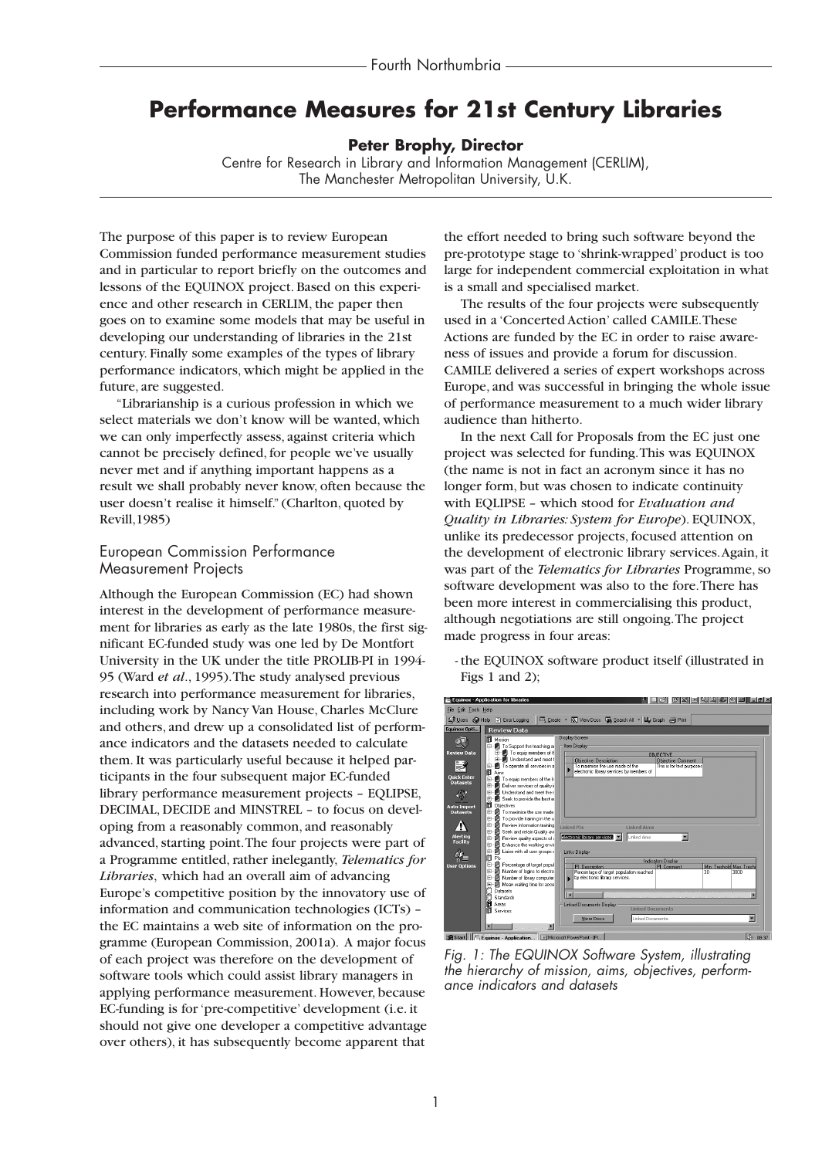# **Performance Measures for 21st Century Libraries**

### **Peter Brophy, Director**

Centre for Research in Library and Information Management (CERLIM), The Manchester Metropolitan University, U.K.

The purpose of this paper is to review European Commission funded performance measurement studies and in particular to report briefly on the outcomes and lessons of the EQUINOX project. Based on this experience and other research in CERLIM, the paper then goes on to examine some models that may be useful in developing our understanding of libraries in the 21st century. Finally some examples of the types of library performance indicators, which might be applied in the future, are suggested.

"Librarianship is a curious profession in which we select materials we don't know will be wanted, which we can only imperfectly assess, against criteria which cannot be precisely defined, for people we've usually never met and if anything important happens as a result we shall probably never know, often because the user doesn't realise it himself." (Charlton, quoted by Revill,1985)

### European Commission Performance Measurement Projects

Although the European Commission (EC) had shown interest in the development of performance measurement for libraries as early as the late 1980s, the first significant EC-funded study was one led by De Montfort University in the UK under the title PROLIB-PI in 1994- 95 (Ward *et al*., 1995).The study analysed previous research into performance measurement for libraries, including work by Nancy Van House, Charles McClure and others, and drew up a consolidated list of performance indicators and the datasets needed to calculate them. It was particularly useful because it helped participants in the four subsequent major EC-funded library performance measurement projects – EQLIPSE, DECIMAL, DECIDE and MINSTREL – to focus on developing from a reasonably common, and reasonably advanced, starting point.The four projects were part of a Programme entitled, rather inelegantly, *Telematics for Libraries*, which had an overall aim of advancing Europe's competitive position by the innovatory use of information and communication technologies (ICTs) – the EC maintains a web site of information on the programme (European Commission, 2001a). A major focus of each project was therefore on the development of software tools which could assist library managers in applying performance measurement. However, because EC-funding is for 'pre-competitive' development (i.e. it should not give one developer a competitive advantage over others), it has subsequently become apparent that

the effort needed to bring such software beyond the pre-prototype stage to 'shrink-wrapped' product is too large for independent commercial exploitation in what is a small and specialised market.

The results of the four projects were subsequently used in a 'Concerted Action' called CAMILE.These Actions are funded by the EC in order to raise awareness of issues and provide a forum for discussion. CAMILE delivered a series of expert workshops across Europe, and was successful in bringing the whole issue of performance measurement to a much wider library audience than hitherto.

In the next Call for Proposals from the EC just one project was selected for funding.This was EQUINOX (the name is not in fact an acronym since it has no longer form, but was chosen to indicate continuity with EQLIPSE – which stood for *Evaluation and Quality in Libraries: System for Europe*). EQUINOX, unlike its predecessor projects, focused attention on the development of electronic library services.Again, it was part of the *Telematics for Libraries* Programme, so software development was also to the fore.There has been more interest in commercialising this product, although negotiations are still ongoing.The project made progress in four areas:



- the EQUINOX software product itself (illustrated in Figs 1 and 2);

*Fig. 1: The EQUINOX Software System, illustrating the hierarchy of mission, aims, objectives, performance indicators and datasets*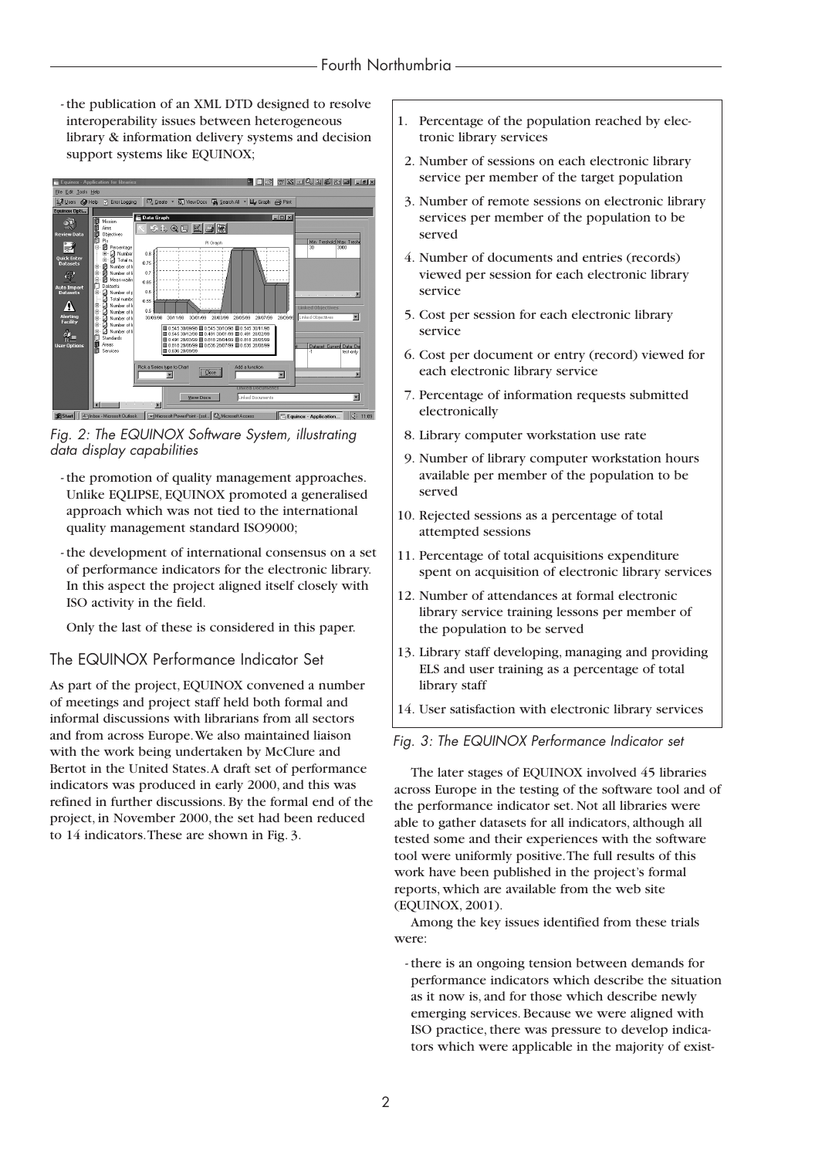- the publication of an XML DTD designed to resolve interoperability issues between heterogeneous library & information delivery systems and decision support systems like EQUINOX;



*Fig. 2: The EQUINOX Software System, illustrating data display capabilities*

- the promotion of quality management approaches. Unlike EQLIPSE, EQUINOX promoted a generalised approach which was not tied to the international quality management standard ISO9000;
- the development of international consensus on a set of performance indicators for the electronic library. In this aspect the project aligned itself closely with ISO activity in the field.

Only the last of these is considered in this paper.

### The EQUINOX Performance Indicator Set

As part of the project, EQUINOX convened a number of meetings and project staff held both formal and informal discussions with librarians from all sectors and from across Europe.We also maintained liaison with the work being undertaken by McClure and Bertot in the United States.A draft set of performance indicators was produced in early 2000, and this was refined in further discussions. By the formal end of the project, in November 2000, the set had been reduced to 14 indicators.These are shown in Fig. 3.

- 1. Percentage of the population reached by electronic library services
- 2. Number of sessions on each electronic library service per member of the target population
- 3. Number of remote sessions on electronic library services per member of the population to be served
- 4. Number of documents and entries (records) viewed per session for each electronic library service
- 5. Cost per session for each electronic library service
- 6. Cost per document or entry (record) viewed for each electronic library service
- 7. Percentage of information requests submitted electronically
- 8. Library computer workstation use rate
- 9. Number of library computer workstation hours available per member of the population to be served
- 10. Rejected sessions as a percentage of total attempted sessions
- 11. Percentage of total acquisitions expenditure spent on acquisition of electronic library services
- 12. Number of attendances at formal electronic library service training lessons per member of the population to be served
- 13. Library staff developing, managing and providing ELS and user training as a percentage of total library staff
- 14. User satisfaction with electronic library services

### *Fig. 3: The EQUINOX Performance Indicator set*

The later stages of EQUINOX involved 45 libraries across Europe in the testing of the software tool and of the performance indicator set. Not all libraries were able to gather datasets for all indicators, although all tested some and their experiences with the software tool were uniformly positive.The full results of this work have been published in the project's formal reports, which are available from the web site (EQUINOX, 2001).

Among the key issues identified from these trials were:

- there is an ongoing tension between demands for performance indicators which describe the situation as it now is, and for those which describe newly emerging services. Because we were aligned with ISO practice, there was pressure to develop indicators which were applicable in the majority of exist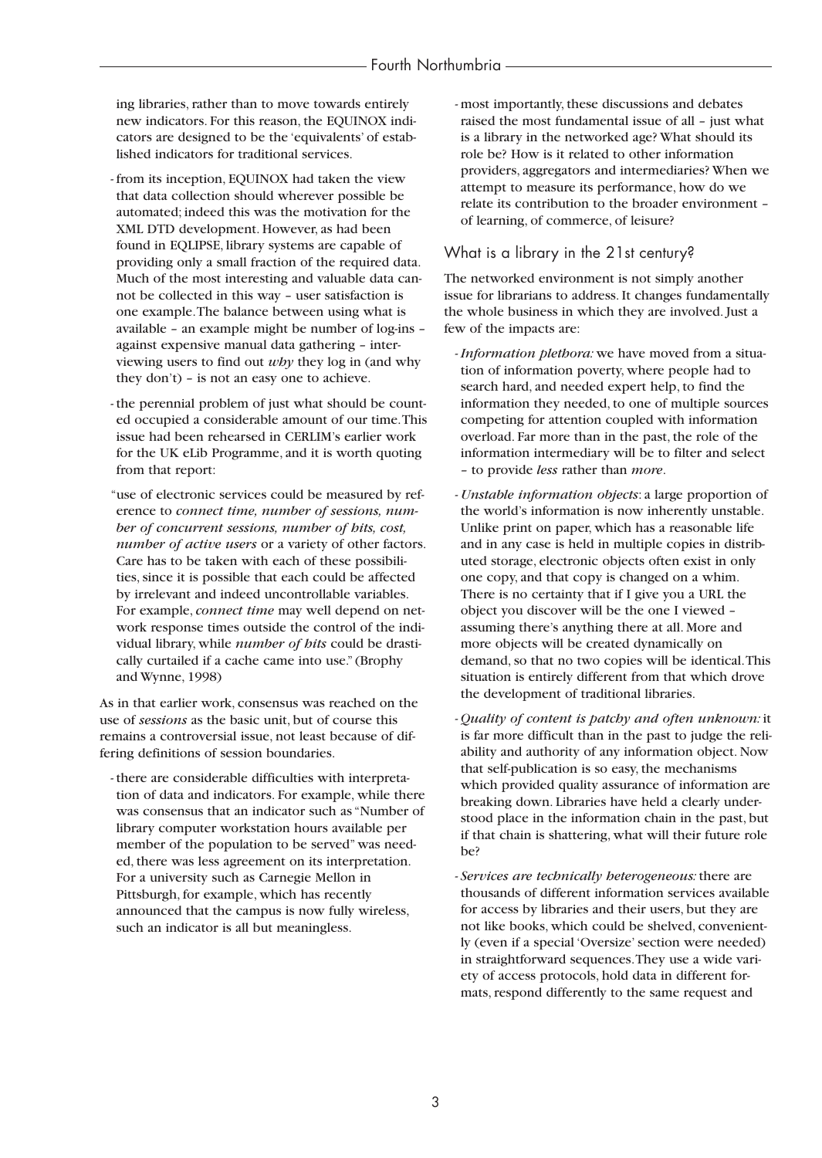ing libraries, rather than to move towards entirely new indicators. For this reason, the EQUINOX indicators are designed to be the 'equivalents' of established indicators for traditional services.

- from its inception, EQUINOX had taken the view that data collection should wherever possible be automated; indeed this was the motivation for the XML DTD development. However, as had been found in EQLIPSE, library systems are capable of providing only a small fraction of the required data. Much of the most interesting and valuable data cannot be collected in this way – user satisfaction is one example.The balance between using what is available – an example might be number of log-ins – against expensive manual data gathering – interviewing users to find out *why* they log in (and why they don't) – is not an easy one to achieve.

- the perennial problem of just what should be counted occupied a considerable amount of our time.This issue had been rehearsed in CERLIM's earlier work for the UK eLib Programme, and it is worth quoting from that report:
- "use of electronic services could be measured by reference to *connect time, number of sessions, number of concurrent sessions, number of hits, cost, number of active users* or a variety of other factors. Care has to be taken with each of these possibilities, since it is possible that each could be affected by irrelevant and indeed uncontrollable variables. For example, *connect time* may well depend on network response times outside the control of the individual library, while *number of hits* could be drastically curtailed if a cache came into use." (Brophy and Wynne, 1998)

As in that earlier work, consensus was reached on the use of *sessions* as the basic unit, but of course this remains a controversial issue, not least because of differing definitions of session boundaries.

- there are considerable difficulties with interpretation of data and indicators. For example, while there was consensus that an indicator such as "Number of library computer workstation hours available per member of the population to be served" was needed, there was less agreement on its interpretation. For a university such as Carnegie Mellon in Pittsburgh, for example, which has recently announced that the campus is now fully wireless, such an indicator is all but meaningless.

- most importantly, these discussions and debates raised the most fundamental issue of all – just what is a library in the networked age? What should its role be? How is it related to other information providers, aggregators and intermediaries? When we attempt to measure its performance, how do we relate its contribution to the broader environment – of learning, of commerce, of leisure?

### What is a library in the 21st century?

The networked environment is not simply another issue for librarians to address. It changes fundamentally the whole business in which they are involved. Just a few of the impacts are:

- *Information plethora:* we have moved from a situation of information poverty, where people had to search hard, and needed expert help, to find the information they needed, to one of multiple sources competing for attention coupled with information overload. Far more than in the past, the role of the information intermediary will be to filter and select – to provide *less* rather than *more*.
- *Unstable information objects*: a large proportion of the world's information is now inherently unstable. Unlike print on paper, which has a reasonable life and in any case is held in multiple copies in distributed storage, electronic objects often exist in only one copy, and that copy is changed on a whim. There is no certainty that if I give you a URL the object you discover will be the one I viewed – assuming there's anything there at all. More and more objects will be created dynamically on demand, so that no two copies will be identical.This situation is entirely different from that which drove the development of traditional libraries.
- *Quality of content is patchy and often unknown:* it is far more difficult than in the past to judge the reliability and authority of any information object. Now that self-publication is so easy, the mechanisms which provided quality assurance of information are breaking down. Libraries have held a clearly understood place in the information chain in the past, but if that chain is shattering, what will their future role be?
- *Services are technically heterogeneous:* there are thousands of different information services available for access by libraries and their users, but they are not like books, which could be shelved, conveniently (even if a special 'Oversize' section were needed) in straightforward sequences.They use a wide variety of access protocols, hold data in different formats, respond differently to the same request and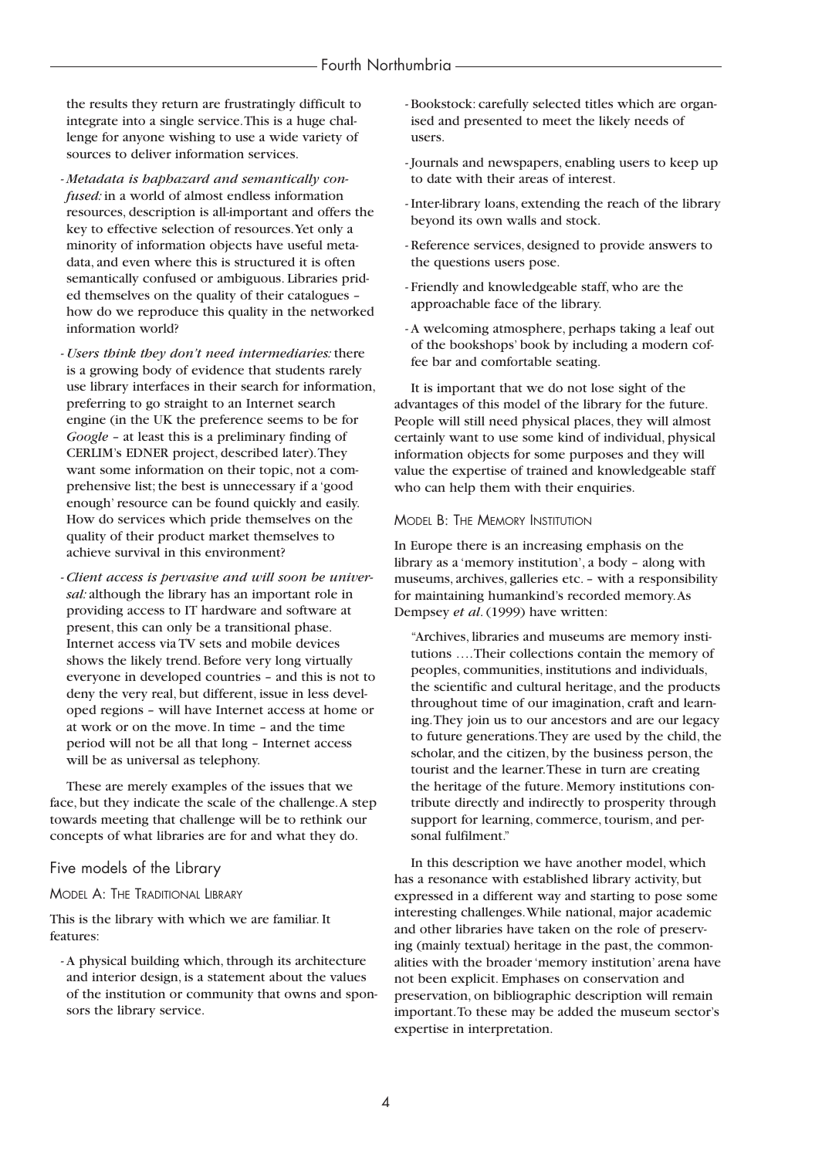the results they return are frustratingly difficult to integrate into a single service.This is a huge challenge for anyone wishing to use a wide variety of sources to deliver information services.

- *Metadata is haphazard and semantically confused:* in a world of almost endless information resources, description is all-important and offers the key to effective selection of resources.Yet only a minority of information objects have useful metadata, and even where this is structured it is often semantically confused or ambiguous. Libraries prided themselves on the quality of their catalogues – how do we reproduce this quality in the networked information world?
- *Users think they don't need intermediaries:* there is a growing body of evidence that students rarely use library interfaces in their search for information, preferring to go straight to an Internet search engine (in the UK the preference seems to be for *Google* – at least this is a preliminary finding of CERLIM's EDNER project, described later).They want some information on their topic, not a comprehensive list; the best is unnecessary if a 'good enough' resource can be found quickly and easily. How do services which pride themselves on the quality of their product market themselves to achieve survival in this environment?
- *Client access is pervasive and will soon be universal:* although the library has an important role in providing access to IT hardware and software at present, this can only be a transitional phase. Internet access via TV sets and mobile devices shows the likely trend. Before very long virtually everyone in developed countries – and this is not to deny the very real, but different, issue in less developed regions – will have Internet access at home or at work or on the move. In time – and the time period will not be all that long – Internet access will be as universal as telephony.

These are merely examples of the issues that we face, but they indicate the scale of the challenge.A step towards meeting that challenge will be to rethink our concepts of what libraries are for and what they do.

Five models of the Library

### MODEL A: THE TRADITIONAL LIBRARY

This is the library with which we are familiar. It features:

- A physical building which, through its architecture and interior design, is a statement about the values of the institution or community that owns and sponsors the library service.

- Bookstock: carefully selected titles which are organised and presented to meet the likely needs of users.
- Journals and newspapers, enabling users to keep up to date with their areas of interest.
- Inter-library loans, extending the reach of the library beyond its own walls and stock.
- Reference services, designed to provide answers to the questions users pose.
- Friendly and knowledgeable staff, who are the approachable face of the library.
- A welcoming atmosphere, perhaps taking a leaf out of the bookshops' book by including a modern coffee bar and comfortable seating.

It is important that we do not lose sight of the advantages of this model of the library for the future. People will still need physical places, they will almost certainly want to use some kind of individual, physical information objects for some purposes and they will value the expertise of trained and knowledgeable staff who can help them with their enquiries.

#### MODEL B: THE MEMORY INSTITUTION

In Europe there is an increasing emphasis on the library as a 'memory institution', a body – along with museums, archives, galleries etc. – with a responsibility for maintaining humankind's recorded memory.As Dempsey *et al*. (1999) have written:

"Archives, libraries and museums are memory institutions ….Their collections contain the memory of peoples, communities, institutions and individuals, the scientific and cultural heritage, and the products throughout time of our imagination, craft and learning.They join us to our ancestors and are our legacy to future generations.They are used by the child, the scholar, and the citizen, by the business person, the tourist and the learner.These in turn are creating the heritage of the future. Memory institutions contribute directly and indirectly to prosperity through support for learning, commerce, tourism, and personal fulfilment."

In this description we have another model, which has a resonance with established library activity, but expressed in a different way and starting to pose some interesting challenges.While national, major academic and other libraries have taken on the role of preserving (mainly textual) heritage in the past, the commonalities with the broader 'memory institution' arena have not been explicit. Emphases on conservation and preservation, on bibliographic description will remain important.To these may be added the museum sector's expertise in interpretation.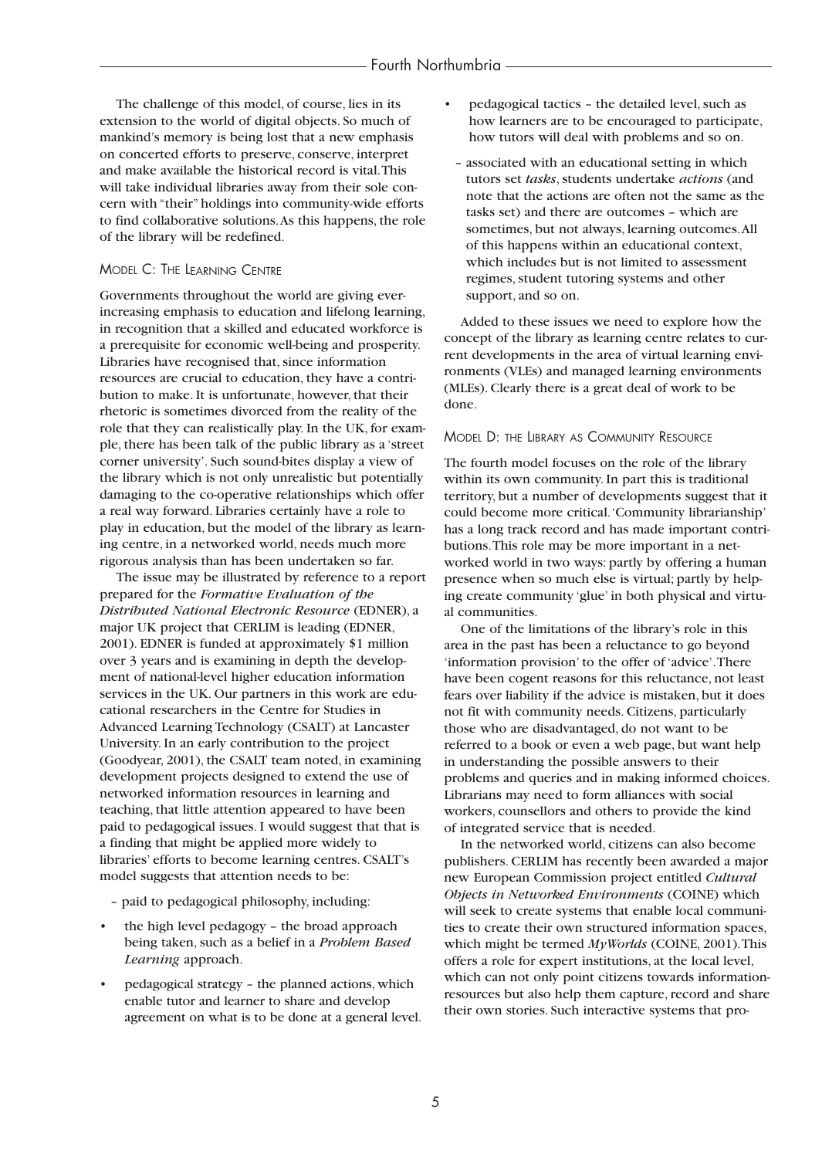The challenge of this model, of course, lies in its extension to the world of digital objects. So much of mankind's memory is being lost that a new emphasis on concerted efforts to preserve, conserve, interpret and make available the historical record is vital.This will take individual libraries away from their sole concern with "their" holdings into community-wide efforts to find collaborative solutions.As this happens, the role of the library will be redefined.

#### MODEL C: THE LEARNING CENTRE

Governments throughout the world are giving everincreasing emphasis to education and lifelong learning, in recognition that a skilled and educated workforce is a prerequisite for economic well-being and prosperity. Libraries have recognised that, since information resources are crucial to education, they have a contribution to make. It is unfortunate, however, that their rhetoric is sometimes divorced from the reality of the role that they can realistically play. In the UK, for example, there has been talk of the public library as a 'street corner university'. Such sound-bites display a view of the library which is not only unrealistic but potentially damaging to the co-operative relationships which offer a real way forward. Libraries certainly have a role to play in education, but the model of the library as learning centre, in a networked world, needs much more rigorous analysis than has been undertaken so far.

The issue may be illustrated by reference to a report prepared for the *Formative Evaluation of the Distributed National Electronic Resource* (EDNER), a major UK project that CERLIM is leading (EDNER, 2001). EDNER is funded at approximately \$1 million over 3 years and is examining in depth the development of national-level higher education information services in the UK. Our partners in this work are educational researchers in the Centre for Studies in Advanced Learning Technology (CSALT) at Lancaster University. In an early contribution to the project (Goodyear, 2001), the CSALT team noted, in examining development projects designed to extend the use of networked information resources in learning and teaching, that little attention appeared to have been paid to pedagogical issues. I would suggest that that is a finding that might be applied more widely to libraries' efforts to become learning centres. CSALT's model suggests that attention needs to be:

- paid to pedagogical philosophy, including:
- the high level pedagogy the broad approach being taken, such as a belief in a *Problem Based Learning* approach.
- pedagogical strategy the planned actions, which enable tutor and learner to share and develop agreement on what is to be done at a general level.
- pedagogical tactics the detailed level, such as how learners are to be encouraged to participate, how tutors will deal with problems and so on.
- associated with an educational setting in which tutors set *tasks*, students undertake *actions* (and note that the actions are often not the same as the tasks set) and there are outcomes – which are sometimes, but not always, learning outcomes.All of this happens within an educational context, which includes but is not limited to assessment regimes, student tutoring systems and other support, and so on.

Added to these issues we need to explore how the concept of the library as learning centre relates to current developments in the area of virtual learning environments (VLEs) and managed learning environments (MLEs). Clearly there is a great deal of work to be done.

#### MODEL D: THE LIBRARY AS COMMUNITY RESOURCE

The fourth model focuses on the role of the library within its own community. In part this is traditional territory, but a number of developments suggest that it could become more critical.'Community librarianship' has a long track record and has made important contributions.This role may be more important in a networked world in two ways: partly by offering a human presence when so much else is virtual; partly by helping create community 'glue' in both physical and virtual communities.

One of the limitations of the library's role in this area in the past has been a reluctance to go beyond 'information provision' to the offer of 'advice'.There have been cogent reasons for this reluctance, not least fears over liability if the advice is mistaken, but it does not fit with community needs. Citizens, particularly those who are disadvantaged, do not want to be referred to a book or even a web page, but want help in understanding the possible answers to their problems and queries and in making informed choices. Librarians may need to form alliances with social workers, counsellors and others to provide the kind of integrated service that is needed.

In the networked world, citizens can also become publishers. CERLIM has recently been awarded a major new European Commission project entitled *Cultural Objects in Networked Environments* (COINE) which will seek to create systems that enable local communities to create their own structured information spaces, which might be termed *MyWorlds* (COINE, 2001).This offers a role for expert institutions, at the local level, which can not only point citizens towards informationresources but also help them capture, record and share their own stories. Such interactive systems that pro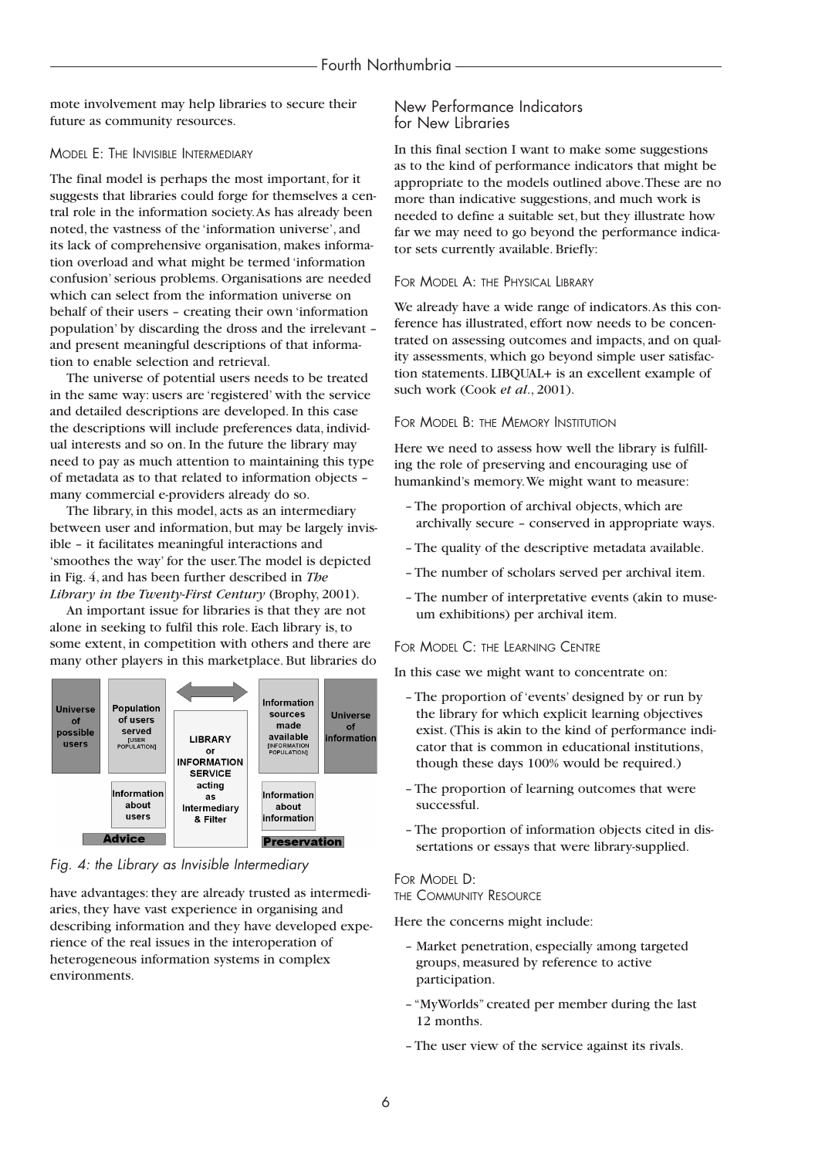mote involvement may help libraries to secure their future as community resources.

#### MODEL E: THE INVISIBLE INTERMEDIARY

The final model is perhaps the most important, for it suggests that libraries could forge for themselves a central role in the information society.As has already been noted, the vastness of the 'information universe', and its lack of comprehensive organisation, makes information overload and what might be termed 'information confusion' serious problems. Organisations are needed which can select from the information universe on behalf of their users – creating their own 'information population' by discarding the dross and the irrelevant – and present meaningful descriptions of that information to enable selection and retrieval.

The universe of potential users needs to be treated in the same way: users are 'registered' with the service and detailed descriptions are developed. In this case the descriptions will include preferences data, individual interests and so on. In the future the library may need to pay as much attention to maintaining this type of metadata as to that related to information objects – many commercial e-providers already do so.

The library, in this model, acts as an intermediary between user and information, but may be largely invisible – it facilitates meaningful interactions and 'smoothes the way' for the user.The model is depicted in Fig. 4, and has been further described in *The Library in the Twenty-First Century* (Brophy, 2001).

An important issue for libraries is that they are not alone in seeking to fulfil this role. Each library is, to some extent, in competition with others and there are many other players in this marketplace. But libraries do



*Fig. 4: the Library as Invisible Intermediary*

have advantages: they are already trusted as intermediaries, they have vast experience in organising and describing information and they have developed experience of the real issues in the interoperation of heterogeneous information systems in complex environments.

### New Performance Indicators for New Libraries

In this final section I want to make some suggestions as to the kind of performance indicators that might be appropriate to the models outlined above.These are no more than indicative suggestions, and much work is needed to define a suitable set, but they illustrate how far we may need to go beyond the performance indicator sets currently available. Briefly:

#### FOR MODEL A: THE PHYSICAL LIBRARY

We already have a wide range of indicators.As this conference has illustrated, effort now needs to be concentrated on assessing outcomes and impacts, and on quality assessments, which go beyond simple user satisfaction statements. LIBQUAL+ is an excellent example of such work (Cook *et al*., 2001).

#### FOR MODEL B: THE MEMORY INSTITUTION

Here we need to assess how well the library is fulfilling the role of preserving and encouraging use of humankind's memory.We might want to measure:

- The proportion of archival objects, which are archivally secure – conserved in appropriate ways.
- The quality of the descriptive metadata available.
- The number of scholars served per archival item.
- The number of interpretative events (akin to museum exhibitions) per archival item.

#### FOR MODEL C: THE LEARNING CENTRE

In this case we might want to concentrate on:

- The proportion of 'events' designed by or run by the library for which explicit learning objectives exist. (This is akin to the kind of performance indicator that is common in educational institutions, though these days 100% would be required.)
- The proportion of learning outcomes that were successful.
- The proportion of information objects cited in dissertations or essays that were library-supplied.

#### FOR MODEL D: THE COMMUNITY RESOURCE

Here the concerns might include:

- Market penetration, especially among targeted groups, measured by reference to active participation.
- "MyWorlds" created per member during the last 12 months.
- The user view of the service against its rivals.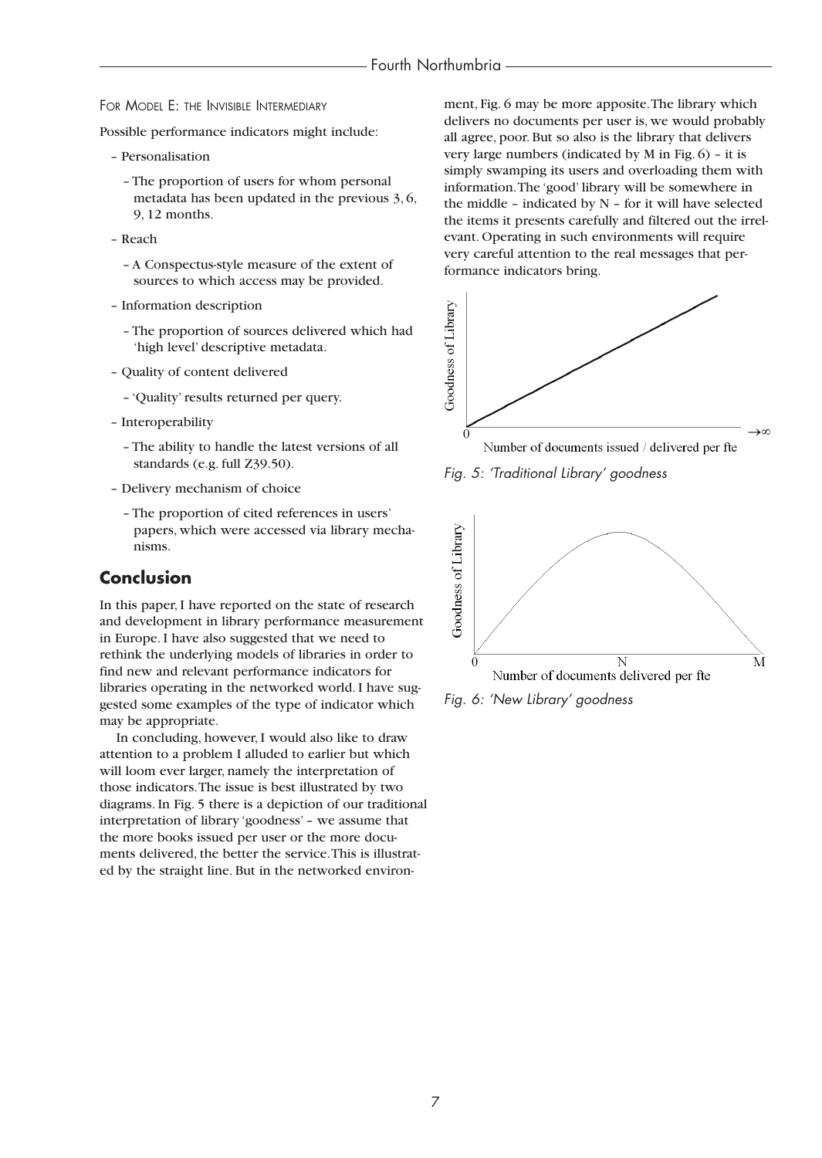FOR MODEL E: THE INVISIBLE INTERMEDIARY

Possible performance indicators might include:

- Personalisation
	- The proportion of users for whom personal metadata has been updated in the previous 3, 6, 9, 12 months.
- Reach
	- A Conspectus-style measure of the extent of sources to which access may be provided.
- Information description
	- The proportion of sources delivered which had 'high level' descriptive metadata.
- Quality of content delivered
	- 'Quality' results returned per query.
- Interoperability
	- The ability to handle the latest versions of all standards (e.g. full Z39.50).
- Delivery mechanism of choice
	- The proportion of cited references in users' papers, which were accessed via library mechanisms.

# **Conclusion**

In this paper, I have reported on the state of research and development in library performance measurement in Europe. I have also suggested that we need to rethink the underlying models of libraries in order to find new and relevant performance indicators for libraries operating in the networked world. I have suggested some examples of the type of indicator which may be appropriate.

In concluding, however, I would also like to draw attention to a problem I alluded to earlier but which will loom ever larger, namely the interpretation of those indicators.The issue is best illustrated by two diagrams. In Fig. 5 there is a depiction of our traditional interpretation of library 'goodness' – we assume that the more books issued per user or the more documents delivered, the better the service.This is illustrated by the straight line. But in the networked environment, Fig. 6 may be more apposite.The library which delivers no documents per user is, we would probably all agree, poor. But so also is the library that delivers very large numbers (indicated by M in Fig. 6) – it is simply swamping its users and overloading them with information.The 'good' library will be somewhere in the middle – indicated by  $N$  – for it will have selected the items it presents carefully and filtered out the irrelevant. Operating in such environments will require very careful attention to the real messages that performance indicators bring.









*Fig. 6: 'New Library' goodness*